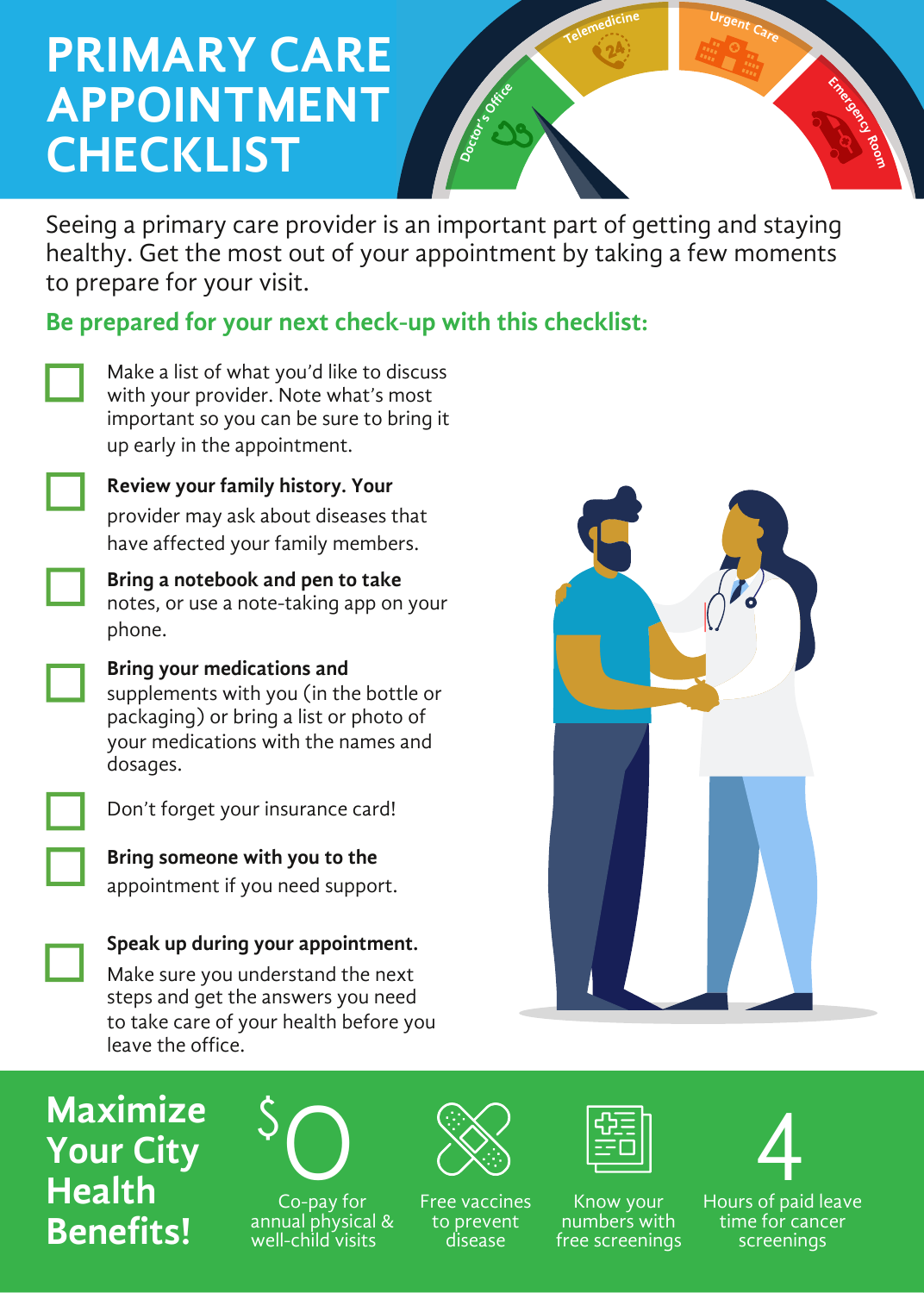## **PRIMARY CARE APPOINTMENT CHECKLIST**

Seeing a primary care provider is an important part of getting and staying healthy. Get the most out of your appointment by taking a few moments to prepare for your visit.

**c**

**e**

**cf**

**t**

**o**

**D**

**s**

**O**

**f**

**r**

**o**

**Be prepared for your next check-up with this checklist:**

Make a list of what you'd like to discuss with your provider. Note what's most important so you can be sure to bring it up early in the appointment.

**Review your family history. Your** provider may ask about diseases that have affected your family members.

**Bring a notebook and pen to take** notes, or use a note-taking app on your phone.



**Bring your medications and** supplements with you (in the bottle or packaging) or bring a list or photo of your medications with the names and dosages.



Don't forget your insurance card!

**Bring someone with you to the** appointment if you need support.

**Speak up during your appointment.**

Make sure you understand the next steps and get the answers you need to take care of your health before you leave the office.



**e**

**m**

**d**

**<sup>i</sup>**

**R**

**c n**

**e y m**

**E**

**r**

**g**

**e**

**C U**

**en**

**a**

**e**

**o**

**o**

**m**

**Maximize Your City Health Benefits!**



Co-pay for annual physical & well-child visits



Free vaccines to prevent disease

Know your numbers with free screenings



Hours of paid leave time for cancer screenings